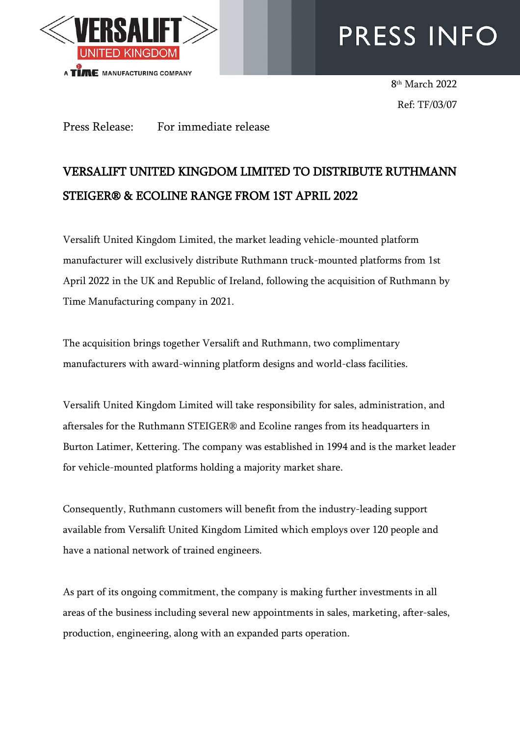

# PRESS INFO

8 th March 2022 Ref: TF/03/07

Press Release: For immediate release

## VERSALIFT UNITED KINGDOM LIMITED TO DISTRIBUTE RUTHMANN STEIGER® & ECOLINE RANGE FROM 1ST APRIL 2022

Versalift United Kingdom Limited, the market leading vehicle-mounted platform manufacturer will exclusively distribute Ruthmann truck-mounted platforms from 1st April 2022 in the UK and Republic of Ireland, following the acquisition of Ruthmann by Time Manufacturing company in 2021.

The acquisition brings together Versalift and Ruthmann, two complimentary manufacturers with award-winning platform designs and world-class facilities.

Versalift United Kingdom Limited will take responsibility for sales, administration, and aftersales for the Ruthmann STEIGER® and Ecoline ranges from its headquarters in Burton Latimer, Kettering. The company was established in 1994 and is the market leader for vehicle-mounted platforms holding a majority market share.

Consequently, Ruthmann customers will benefit from the industry-leading support available from Versalift United Kingdom Limited which employs over 120 people and have a national network of trained engineers.

As part of its ongoing commitment, the company is making further investments in all areas of the business including several new appointments in sales, marketing, after-sales, production, engineering, along with an expanded parts operation.